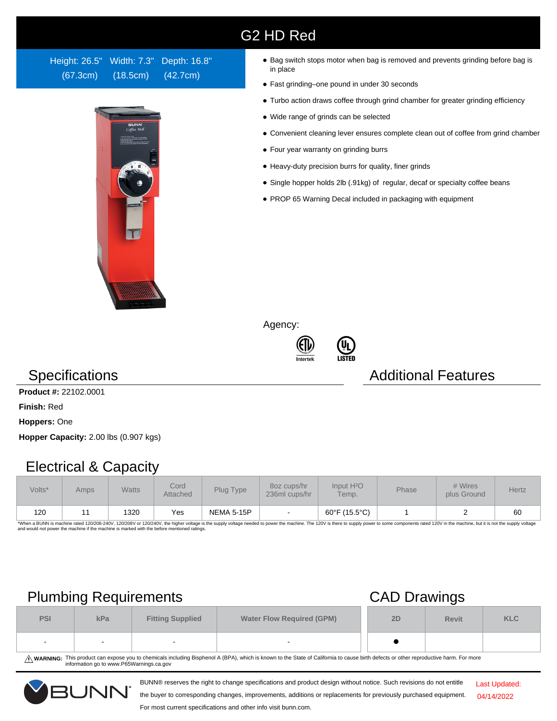## G2 HD Red

Height: 26.5" Width: 7.3" Depth: 16.8" (67.3cm) (18.5cm) (42.7cm)



- Bag switch stops motor when bag is removed and prevents grinding before bag is in place
- Fast grinding–one pound in under 30 seconds
- Turbo action draws coffee through grind chamber for greater grinding efficiency
- Wide range of grinds can be selected
- Convenient cleaning lever ensures complete clean out of coffee from grind chamber
- Four year warranty on grinding burrs
- Heavy-duty precision burrs for quality, finer grinds
- Single hopper holds 2lb (.91kg) of regular, decaf or specialty coffee beans
- PROP 65 Warning Decal included in packaging with equipment

Agency:





### **Specifications Additional Features**

**Product #:** 22102.0001

**Finish:** Red

**Hoppers:** One

**Hopper Capacity:** 2.00 lbs (0.907 kgs)

### Electrical & Capacity

| Volts* | Amps | <b>Watts</b> | Cord<br>Attached | Plug Type         | Input H <sup>2</sup> O<br>80z cups/hr<br>236ml cups/hr<br>Temp. |               | Phase | # Wires<br>plus Ground | <b>Hertz</b> |
|--------|------|--------------|------------------|-------------------|-----------------------------------------------------------------|---------------|-------|------------------------|--------------|
| 120    |      | 1320         | Yes              | <b>NEMA 5-15P</b> |                                                                 | 60°F (15.5°C) |       |                        | 60           |

\*When a BUNN is machine rated 120/208-240V, 120/208V or 120/240V, the higher voltage is the supply voltage needed to power the machine. The 120V is there to supply power to some components rated 120V in the machine, but it

# Plumbing Requirements CAD Drawings

| <b>PSI</b>               | kPa | <b>Fitting Supplied</b> | <b>Water Flow Required (GPM)</b> | 2D | <b>Revit</b> | <b>KLC</b> |
|--------------------------|-----|-------------------------|----------------------------------|----|--------------|------------|
| $\overline{\phantom{a}}$ |     |                         | $\overline{\phantom{a}}$         |    |              |            |

WARNING: This product can expose you to chemicals including Bisphenol A (BPA), which is known to the State of California to cause birth defects or other reproductive harm. For more<br>information go to www.P65Warnings.ca.gov

BUNN® reserves the right to change specifications and product design without notice. Such revisions do not entitle



the buyer to corresponding changes, improvements, additions or replacements for previously purchased equipment.

### For most current specifications and other info visit bunn.com.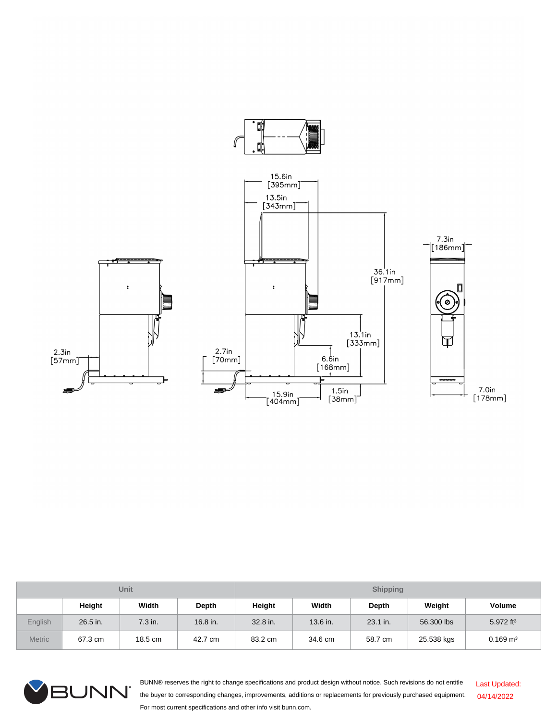

| Unit           |          |         |            | <b>Shipping</b> |          |              |            |                         |  |
|----------------|----------|---------|------------|-----------------|----------|--------------|------------|-------------------------|--|
|                | Height   | Width   | Depth      | Height          | Width    | <b>Depth</b> | Weight     | <b>Volume</b>           |  |
| <b>English</b> | 26.5 in. | 7.3 in. | $16.8$ in. | 32.8 in.        | 13.6 in. | 23.1 in.     | 56.300 lbs | $5.972$ ft <sup>3</sup> |  |
| <b>Metric</b>  | 67.3 cm  | 18.5 cm | 42.7 cm    | 83.2 cm         | 34.6 cm  | 58.7 cm      | 25.538 kgs | $0.169 \text{ m}^3$     |  |



BUNN® reserves the right to change specifications and product design without notice. Such revisions do not entitle the buyer to corresponding changes, improvements, additions or replacements for previously purchased equipment. For most current specifications and other info visit bunn.com. Last Updated: 04/14/2022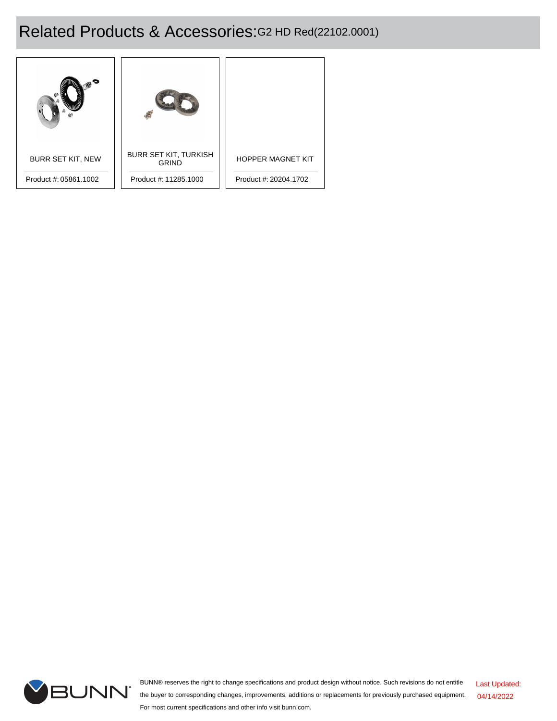# Related Products & Accessories:G2 HD Red(22102.0001)